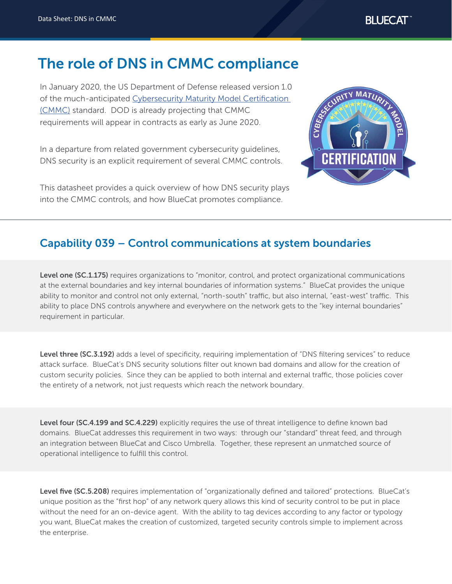# The role of DNS in CMMC compliance

In January 2020, the US Department of Defense released version 1.0 of the much-anticipated [Cybersecurity Maturity Model Certification](https://www.acq.osd.mil/cmmc/draft.html)  [\(CMMC\)](https://www.acq.osd.mil/cmmc/draft.html) standard. DOD is already projecting that CMMC requirements will appear in contracts as early as June 2020.

In a departure from related government cybersecurity guidelines, DNS security is an explicit requirement of several CMMC controls.

This datasheet provides a quick overview of how DNS security plays into the CMMC controls, and how BlueCat promotes compliance.



## Capability 039 – Control communications at system boundaries

Level one (SC.1.175) requires organizations to "monitor, control, and protect organizational communications at the external boundaries and key internal boundaries of information systems." BlueCat provides the unique ability to monitor and control not only external, "north-south" traffic, but also internal, "east-west" traffic. This ability to place DNS controls anywhere and everywhere on the network gets to the "key internal boundaries" requirement in particular.

Level three (SC.3.192) adds a level of specificity, requiring implementation of "DNS filtering services" to reduce attack surface. BlueCat's DNS security solutions filter out known bad domains and allow for the creation of custom security policies. Since they can be applied to both internal and external traffic, those policies cover the entirety of a network, not just requests which reach the network boundary.

Level four (SC.4.199 and SC.4.229) explicitly requires the use of threat intelligence to define known bad domains. BlueCat addresses this requirement in two ways: through our "standard" threat feed, and through an integration between BlueCat and Cisco Umbrella. Together, these represent an unmatched source of operational intelligence to fulfill this control.

Level five (SC.5.208) requires implementation of "organizationally defined and tailored" protections. BlueCat's unique position as the "first hop" of any network query allows this kind of security control to be put in place without the need for an on-device agent. With the ability to tag devices according to any factor or typology you want, BlueCat makes the creation of customized, targeted security controls simple to implement across the enterprise.